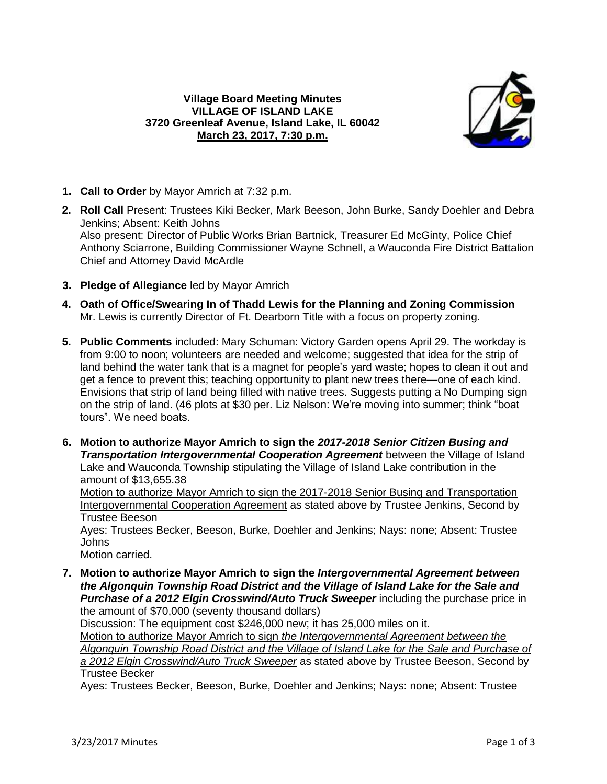

- **1. Call to Order** by Mayor Amrich at 7:32 p.m.
- **2. Roll Call** Present: Trustees Kiki Becker, Mark Beeson, John Burke, Sandy Doehler and Debra Jenkins; Absent: Keith Johns Also present: Director of Public Works Brian Bartnick, Treasurer Ed McGinty, Police Chief Anthony Sciarrone, Building Commissioner Wayne Schnell, a Wauconda Fire District Battalion Chief and Attorney David McArdle
- **3. Pledge of Allegiance** led by Mayor Amrich
- **4. Oath of Office/Swearing In of Thadd Lewis for the Planning and Zoning Commission** Mr. Lewis is currently Director of Ft. Dearborn Title with a focus on property zoning.
- **5. Public Comments** included: Mary Schuman: Victory Garden opens April 29. The workday is from 9:00 to noon; volunteers are needed and welcome; suggested that idea for the strip of land behind the water tank that is a magnet for people's yard waste; hopes to clean it out and get a fence to prevent this; teaching opportunity to plant new trees there—one of each kind. Envisions that strip of land being filled with native trees. Suggests putting a No Dumping sign on the strip of land. (46 plots at \$30 per. Liz Nelson: We're moving into summer; think "boat tours". We need boats.
- **6. Motion to authorize Mayor Amrich to sign the** *2017-2018 Senior Citizen Busing and Transportation Intergovernmental Cooperation Agreement* between the Village of Island Lake and Wauconda Township stipulating the Village of Island Lake contribution in the amount of \$13,655.38 Motion to authorize Mayor Amrich to sign the 2017-2018 Senior Busing and Transportation Intergovernmental Cooperation Agreement as stated above by Trustee Jenkins, Second by Trustee Beeson Ayes: Trustees Becker, Beeson, Burke, Doehler and Jenkins; Nays: none; Absent: Trustee

Johns

Motion carried.

**7. Motion to authorize Mayor Amrich to sign the** *Intergovernmental Agreement between the Algonquin Township Road District and the Village of Island Lake for the Sale and Purchase of a 2012 Elgin Crosswind/Auto Truck Sweeper* including the purchase price in the amount of \$70,000 (seventy thousand dollars)

Discussion: The equipment cost \$246,000 new; it has 25,000 miles on it.

Motion to authorize Mayor Amrich to sign *the Intergovernmental Agreement between the Algonquin Township Road District and the Village of Island Lake for the Sale and Purchase of a 2012 Elgin Crosswind/Auto Truck Sweeper* as stated above by Trustee Beeson, Second by Trustee Becker

Ayes: Trustees Becker, Beeson, Burke, Doehler and Jenkins; Nays: none; Absent: Trustee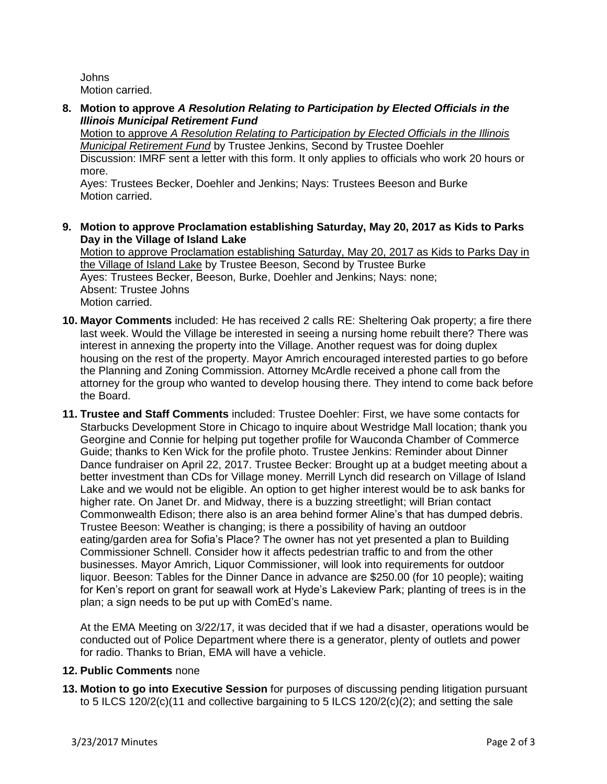Johns Motion carried.

**8. Motion to approve** *A Resolution Relating to Participation by Elected Officials in the Illinois Municipal Retirement Fund*

Motion to approve *A Resolution Relating to Participation by Elected Officials in the Illinois Municipal Retirement Fund* by Trustee Jenkins, Second by Trustee Doehler Discussion: IMRF sent a letter with this form. It only applies to officials who work 20 hours or more.

Ayes: Trustees Becker, Doehler and Jenkins; Nays: Trustees Beeson and Burke Motion carried.

**9. Motion to approve Proclamation establishing Saturday, May 20, 2017 as Kids to Parks Day in the Village of Island Lake**

Motion to approve Proclamation establishing Saturday, May 20, 2017 as Kids to Parks Day in the Village of Island Lake by Trustee Beeson, Second by Trustee Burke Ayes: Trustees Becker, Beeson, Burke, Doehler and Jenkins; Nays: none; Absent: Trustee Johns Motion carried.

- **10. Mayor Comments** included: He has received 2 calls RE: Sheltering Oak property; a fire there last week. Would the Village be interested in seeing a nursing home rebuilt there? There was interest in annexing the property into the Village. Another request was for doing duplex housing on the rest of the property. Mayor Amrich encouraged interested parties to go before the Planning and Zoning Commission. Attorney McArdle received a phone call from the attorney for the group who wanted to develop housing there. They intend to come back before the Board.
- **11. Trustee and Staff Comments** included: Trustee Doehler: First, we have some contacts for Starbucks Development Store in Chicago to inquire about Westridge Mall location; thank you Georgine and Connie for helping put together profile for Wauconda Chamber of Commerce Guide; thanks to Ken Wick for the profile photo. Trustee Jenkins: Reminder about Dinner Dance fundraiser on April 22, 2017. Trustee Becker: Brought up at a budget meeting about a better investment than CDs for Village money. Merrill Lynch did research on Village of Island Lake and we would not be eligible. An option to get higher interest would be to ask banks for higher rate. On Janet Dr. and Midway, there is a buzzing streetlight; will Brian contact Commonwealth Edison; there also is an area behind former Aline's that has dumped debris. Trustee Beeson: Weather is changing; is there a possibility of having an outdoor eating/garden area for Sofia's Place? The owner has not yet presented a plan to Building Commissioner Schnell. Consider how it affects pedestrian traffic to and from the other businesses. Mayor Amrich, Liquor Commissioner, will look into requirements for outdoor liquor. Beeson: Tables for the Dinner Dance in advance are \$250.00 (for 10 people); waiting for Ken's report on grant for seawall work at Hyde's Lakeview Park; planting of trees is in the plan; a sign needs to be put up with ComEd's name.

At the EMA Meeting on 3/22/17, it was decided that if we had a disaster, operations would be conducted out of Police Department where there is a generator, plenty of outlets and power for radio. Thanks to Brian, EMA will have a vehicle.

## **12. Public Comments** none

**13. Motion to go into Executive Session** for purposes of discussing pending litigation pursuant to 5 ILCS 120/2(c)(11 and collective bargaining to 5 ILCS 120/2(c)(2); and setting the sale